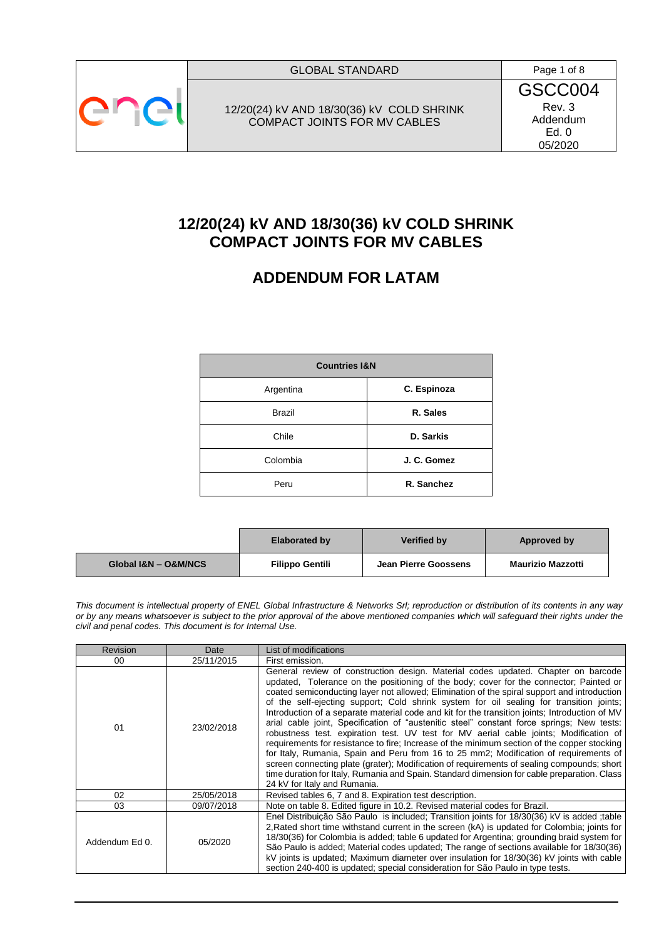

12/20(24) kV AND 18/30(36) kV COLD SHRINK COMPACT JOINTS FOR MV CABLES

GSCC004 Rev. 3 Addendum Ed. 0 05/2020

# **12/20(24) kV AND 18/30(36) kV COLD SHRINK COMPACT JOINTS FOR MV CABLES**

# **ADDENDUM FOR LATAM**

| <b>Countries I&amp;N</b> |             |  |  |
|--------------------------|-------------|--|--|
| Argentina                | C. Espinoza |  |  |
| <b>Brazil</b>            | R. Sales    |  |  |
| Chile                    | D. Sarkis   |  |  |
| Colombia                 | J. C. Gomez |  |  |
| Peru                     | R. Sanchez  |  |  |

|                      | <b>Elaborated by</b> | <b>Verified by</b>   | Approved by              |
|----------------------|----------------------|----------------------|--------------------------|
| Global I&N - O&M/NCS | Filippo Gentili      | Jean Pierre Goossens | <b>Maurizio Mazzotti</b> |

*This document is intellectual property of ENEL Global Infrastructure & Networks Srl; reproduction or distribution of its contents in any way or by any means whatsoever is subject to the prior approval of the above mentioned companies which will safeguard their rights under the civil and penal codes. This document is for Internal Use.*

| <b>Revision</b> | Date       | List of modifications                                                                                                                                                                                                                                                                                                                                                                                                                                                                                                                                                                                                                                                                                                                                                                                                                                                                                                                                                                                                                                                              |
|-----------------|------------|------------------------------------------------------------------------------------------------------------------------------------------------------------------------------------------------------------------------------------------------------------------------------------------------------------------------------------------------------------------------------------------------------------------------------------------------------------------------------------------------------------------------------------------------------------------------------------------------------------------------------------------------------------------------------------------------------------------------------------------------------------------------------------------------------------------------------------------------------------------------------------------------------------------------------------------------------------------------------------------------------------------------------------------------------------------------------------|
| 00              | 25/11/2015 | First emission.                                                                                                                                                                                                                                                                                                                                                                                                                                                                                                                                                                                                                                                                                                                                                                                                                                                                                                                                                                                                                                                                    |
| 01              | 23/02/2018 | General review of construction design. Material codes updated. Chapter on barcode<br>updated. Tolerance on the positioning of the body; cover for the connector; Painted or<br>coated semiconducting layer not allowed; Elimination of the spiral support and introduction<br>of the self-ejecting support; Cold shrink system for oil sealing for transition joints;<br>Introduction of a separate material code and kit for the transition joints; Introduction of MV<br>arial cable joint, Specification of "austenitic steel" constant force springs; New tests:<br>robustness test. expiration test. UV test for MV aerial cable joints; Modification of<br>requirements for resistance to fire; Increase of the minimum section of the copper stocking<br>for Italy, Rumania, Spain and Peru from 16 to 25 mm2; Modification of requirements of<br>screen connecting plate (grater); Modification of requirements of sealing compounds; short<br>time duration for Italy, Rumania and Spain. Standard dimension for cable preparation. Class<br>24 kV for Italy and Rumania. |
| 02              | 25/05/2018 | Revised tables 6, 7 and 8. Expiration test description.                                                                                                                                                                                                                                                                                                                                                                                                                                                                                                                                                                                                                                                                                                                                                                                                                                                                                                                                                                                                                            |
| 03              | 09/07/2018 | Note on table 8. Edited figure in 10.2. Revised material codes for Brazil.                                                                                                                                                                                                                                                                                                                                                                                                                                                                                                                                                                                                                                                                                                                                                                                                                                                                                                                                                                                                         |
| Addendum Ed 0.  | 05/2020    | Enel Distribuicão São Paulo is included: Transition joints for 18/30(36) kV is added :table<br>2. Rated short time withstand current in the screen (kA) is updated for Colombia; joints for<br>18/30(36) for Colombia is added; table 6 updated for Argentina; grounding braid system for<br>São Paulo is added: Material codes updated: The range of sections available for 18/30(36)<br>kV joints is updated; Maximum diameter over insulation for 18/30(36) kV joints with cable<br>section 240-400 is updated; special consideration for São Paulo in type tests.                                                                                                                                                                                                                                                                                                                                                                                                                                                                                                              |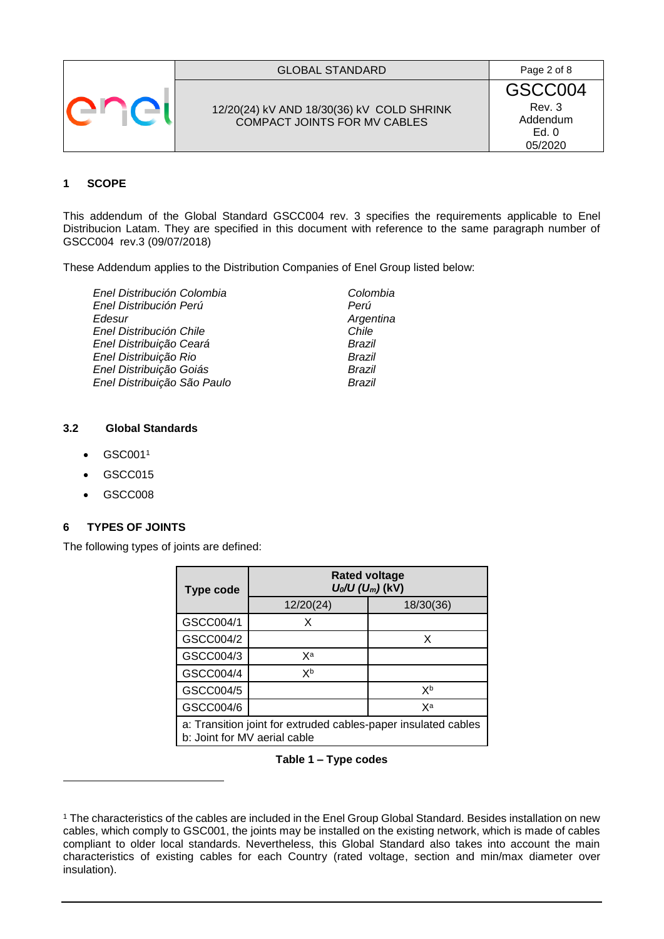| <b>GLOBAL STANDARD</b>                                                           | Page 2 of 8                                       |
|----------------------------------------------------------------------------------|---------------------------------------------------|
| 12/20(24) kV AND 18/30(36) kV COLD SHRINK<br><b>COMPACT JOINTS FOR MV CABLES</b> | GSCC004<br>Rev. 3<br>Addendum<br>Ed. 0<br>05/2020 |

# **1 SCOPE**

This addendum of the Global Standard GSCC004 rev. 3 specifies the requirements applicable to Enel Distribucion Latam. They are specified in this document with reference to the same paragraph number of GSCC004 rev.3 (09/07/2018)

These Addendum applies to the Distribution Companies of Enel Group listed below:

*Enel Distribución Colombia Colombia Enel Distribución Perú Perú Edesur Argentina Enel Distribución Chile Chile Enel Distribuição Ceará Brazil Enel Distribuição Rio Brazil Enel Distribuição Goiás Brazil Enel Distribuição São Paulo* 

#### **3.2 Global Standards**

- $\bullet$  GSC001<sup>1</sup>
- GSCC015
- GSCC008

-

## **6 TYPES OF JOINTS**

The following types of joints are defined:

| <b>Type code</b>                                                                               | <b>Rated voltage</b><br>$U_0/U (U_m)(kV)$ |           |  |
|------------------------------------------------------------------------------------------------|-------------------------------------------|-----------|--|
|                                                                                                | 12/20(24)                                 | 18/30(36) |  |
| GSCC004/1                                                                                      | X                                         |           |  |
| GSCC004/2                                                                                      |                                           | x         |  |
| GSCC004/3                                                                                      | χa                                        |           |  |
| GSCC004/4                                                                                      | Xb                                        |           |  |
| GSCC004/5                                                                                      |                                           | Xb        |  |
| GSCC004/6                                                                                      |                                           | Xa        |  |
| a: Transition joint for extruded cables-paper insulated cables<br>b: Joint for MV aerial cable |                                           |           |  |

### **Table 1 – Type codes**

<sup>1</sup> The characteristics of the cables are included in the Enel Group Global Standard. Besides installation on new cables, which comply to GSC001, the joints may be installed on the existing network, which is made of cables compliant to older local standards. Nevertheless, this Global Standard also takes into account the main characteristics of existing cables for each Country (rated voltage, section and min/max diameter over insulation).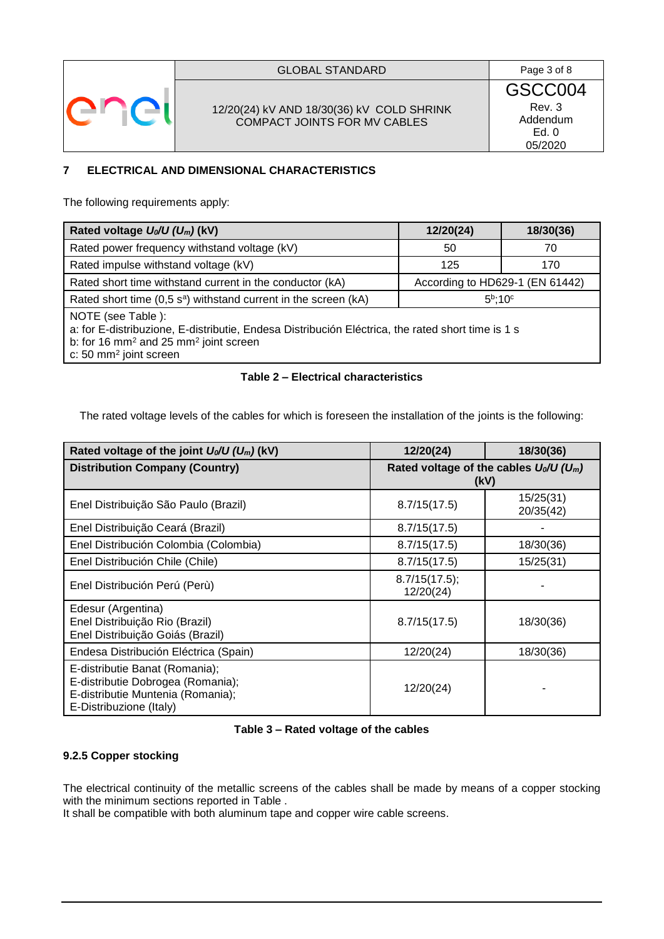

## GLOBAL STANDARD Page 3 of 8

## 12/20(24) kV AND 18/30(36) kV COLD SHRINK COMPACT JOINTS FOR MV CABLES

GSCC004 Rev. 3 Addendum Ed. 0 05/2020

## **7 ELECTRICAL AND DIMENSIONAL CHARACTERISTICS**

The following requirements apply:

| Rated voltage $U_0/U (U_m)$ (kV)                                                                                                                                                                                              | 12/20(24)                       | 18/30(36) |
|-------------------------------------------------------------------------------------------------------------------------------------------------------------------------------------------------------------------------------|---------------------------------|-----------|
| Rated power frequency withstand voltage (kV)                                                                                                                                                                                  | 50                              | 70        |
| Rated impulse withstand voltage (kV)                                                                                                                                                                                          | 125                             | 170       |
| Rated short time withstand current in the conductor (kA)                                                                                                                                                                      | According to HD629-1 (EN 61442) |           |
| Rated short time $(0,5 \text{ s}^{\text{a}})$ withstand current in the screen (kA)                                                                                                                                            | $5b$ :10 $c$                    |           |
| NOTE (see Table):<br>a: for E-distribuzione, E-distributie, Endesa Distribución Eléctrica, the rated short time is 1 s<br>b: for 16 mm <sup>2</sup> and 25 mm <sup>2</sup> joint screen<br>c: 50 mm <sup>2</sup> joint screen |                                 |           |

## **Table 2 – Electrical characteristics**

The rated voltage levels of the cables for which is foreseen the installation of the joints is the following:

<span id="page-2-0"></span>

| Rated voltage of the joint $U_0/U$ (U <sub>m</sub> ) (kV)                                                                           | 12/20(24)                                                     | 18/30(36)              |
|-------------------------------------------------------------------------------------------------------------------------------------|---------------------------------------------------------------|------------------------|
| <b>Distribution Company (Country)</b>                                                                                               | Rated voltage of the cables $U_0/U$ (U <sub>m</sub> )<br>(kV) |                        |
| Enel Distribuição São Paulo (Brazil)                                                                                                | 8.7/15(17.5)                                                  | 15/25(31)<br>20/35(42) |
| Enel Distribuição Ceará (Brazil)                                                                                                    | 8.7/15(17.5)                                                  |                        |
| Enel Distribución Colombia (Colombia)                                                                                               | 8.7/15(17.5)                                                  | 18/30(36)              |
| Enel Distribución Chile (Chile)                                                                                                     | 8.7/15(17.5)                                                  | 15/25(31)              |
| Enel Distribución Perú (Perù)                                                                                                       | 8.7/15(17.5);<br>12/20(24)                                    |                        |
| Edesur (Argentina)<br>Enel Distribuição Rio (Brazil)<br>Enel Distribuição Goiás (Brazil)                                            | 8.7/15(17.5)                                                  | 18/30(36)              |
| Endesa Distribución Eléctrica (Spain)                                                                                               | 12/20(24)                                                     | 18/30(36)              |
| E-distributie Banat (Romania);<br>E-distributie Dobrogea (Romania);<br>E-distributie Muntenia (Romania);<br>E-Distribuzione (Italy) | 12/20(24)                                                     |                        |

## **Table 3 – Rated voltage of the cables**

## **9.2.5 Copper stocking**

The electrical continuity of the metallic screens of the cables shall be made by means of a copper stocking with the minimum sections reported in [Table .](#page-3-0)

It shall be compatible with both aluminum tape and copper wire cable screens.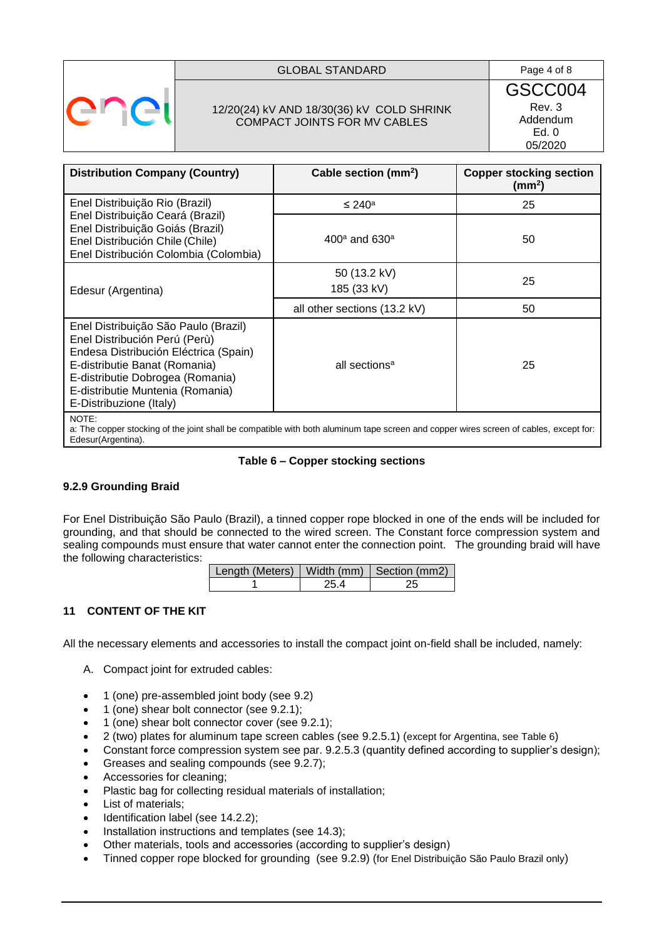

### GLOBAL STANDARD **Page 4 of 8**

## 12/20(24) kV AND 18/30(36) kV COLD SHRINK COMPACT JOINTS FOR MV CABLES

GSCC004 Rev. 3 Addendum Ed. 0 05/2020

| <b>Distribution Company (Country)</b>                                                                                                                                                                                                              | Cable section (mm <sup>2</sup> ) | <b>Copper stocking section</b><br>$\text{(mm)}$ |  |
|----------------------------------------------------------------------------------------------------------------------------------------------------------------------------------------------------------------------------------------------------|----------------------------------|-------------------------------------------------|--|
| Enel Distribuição Rio (Brazil)                                                                                                                                                                                                                     | $\leq 240^{\circ}$               | 25                                              |  |
| Enel Distribuição Ceará (Brazil)<br>Enel Distribuição Goiás (Brazil)<br>Enel Distribución Chile (Chile)<br>Enel Distribución Colombia (Colombia)                                                                                                   | $400^{\circ}$ and $630^{\circ}$  | 50                                              |  |
| Edesur (Argentina)                                                                                                                                                                                                                                 | 50 (13.2 kV)<br>185 (33 kV)      | 25                                              |  |
|                                                                                                                                                                                                                                                    | all other sections (13.2 kV)     | 50                                              |  |
| Enel Distribuição São Paulo (Brazil)<br>Enel Distribución Perú (Perù)<br>Endesa Distribución Eléctrica (Spain)<br>E-distributie Banat (Romania)<br>E-distributie Dobrogea (Romania)<br>E-distributie Muntenia (Romania)<br>E-Distribuzione (Italy) | all sections <sup>a</sup>        | 25                                              |  |
| NOTE:<br>a: The copper stocking of the joint shall be compatible with both aluminum tape screen and copper wires screen of cables, except for:                                                                                                     |                                  |                                                 |  |

<span id="page-3-0"></span>Edesur(Argentina).

#### **Table 6 – Copper stocking sections**

## **9.2.9 Grounding Braid**

For Enel Distribuição São Paulo (Brazil), a tinned copper rope blocked in one of the ends will be included for grounding, and that should be connected to the wired screen. The Constant force compression system and sealing compounds must ensure that water cannot enter the connection point. The grounding braid will have the following characteristics:

| Length (Meters)   Width (mm)   Section (mm2) |     |  |
|----------------------------------------------|-----|--|
|                                              | 254 |  |

## **11 CONTENT OF THE KIT**

All the necessary elements and accessories to install the compact joint on-field shall be included, namely:

- A. Compact joint for extruded cables:
- 1 (one) pre-assembled joint body (see 9.2)
- 1 (one) shear bolt connector (see 9.2.1);
- 1 (one) shear bolt connector cover (see 9.2.1);
- 2 (two) plates for aluminum tape screen cables (see 9.2.5.1) (except for Argentina, see Table 6)
- Constant force compression system see par. 9.2.5.3 (quantity defined according to supplier's design);
- Greases and sealing compounds (see 9.2.7);
- Accessories for cleaning;
- Plastic bag for collecting residual materials of installation;
- List of materials;
- Identification label (see 14.2.2);
- Installation instructions and templates (see 14.3);
- Other materials, tools and accessories (according to supplier's design)
- Tinned copper rope blocked for grounding (see 9.2.9) (for Enel Distribuição São Paulo Brazil only)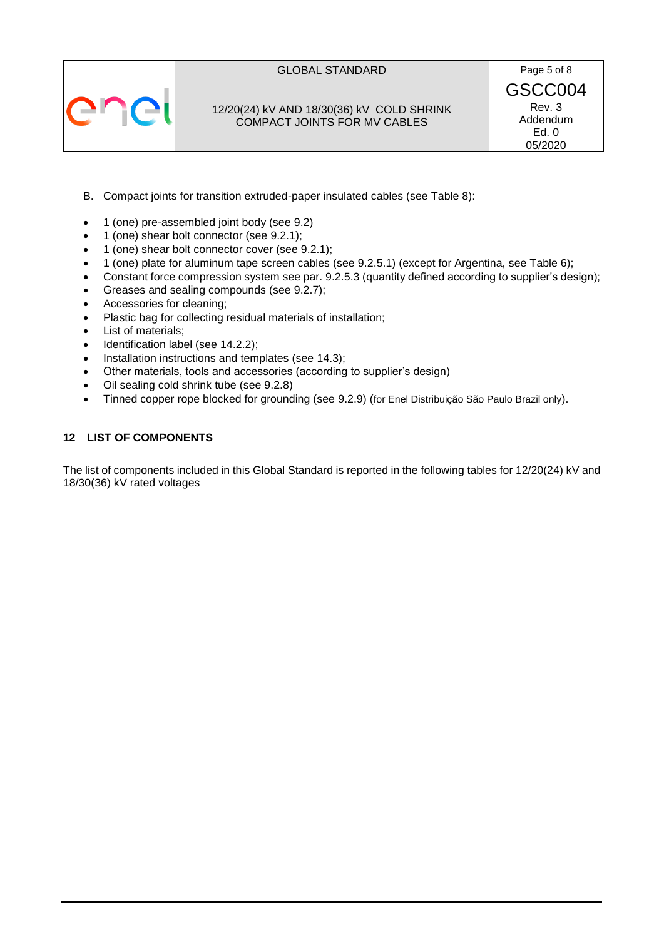## GLOBAL STANDARD Page 5 of 8



12/20(24) kV AND 18/30(36) kV COLD SHRINK COMPACT JOINTS FOR MV CABLES

GSCC004 Rev. 3 Addendum Ed. 0 05/2020

- B. Compact joints for transition extruded-paper insulated cables (see Table 8):
- 1 (one) pre-assembled joint body (see 9.2)
- 1 (one) shear bolt connector (see 9.2.1);
- 1 (one) shear bolt connector cover (see 9.2.1);
- 1 (one) plate for aluminum tape screen cables (see 9.2.5.1) (except for Argentina, see Table 6);
- Constant force compression system see par. 9.2.5.3 (quantity defined according to supplier's design);
- Greases and sealing compounds (see 9.2.7);
- Accessories for cleaning;
- Plastic bag for collecting residual materials of installation;
- List of materials;
- Identification label (see 14.2.2);
- Installation instructions and templates (see 14.3);
- Other materials, tools and accessories (according to supplier's design)
- Oil sealing cold shrink tube (see 9.2.8)
- Tinned copper rope blocked for grounding (see 9.2.9) (for Enel Distribuição São Paulo Brazil only).

## **12 LIST OF COMPONENTS**

The list of components included in this Global Standard is reported in the following tables for 12/20(24) kV and 18/30(36) kV rated voltages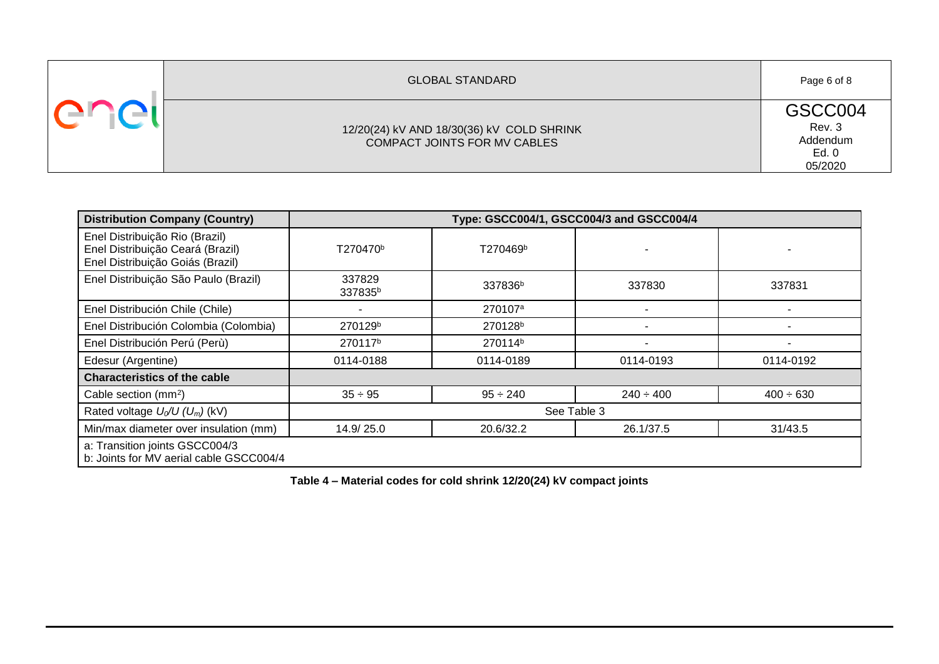| <b>GLOBAL STANDARD</b>                                                    | Page 6 of 8                                       |
|---------------------------------------------------------------------------|---------------------------------------------------|
| 12/20(24) kV AND 18/30(36) kV COLD SHRINK<br>COMPACT JOINTS FOR MV CABLES | GSCC004<br>Rev. 3<br>Addendum<br>Ed. 0<br>05/2020 |

| <b>Distribution Company (Country)</b>                                                                  | Type: GSCC004/1, GSCC004/3 and GSCC004/4 |                     |                |                |
|--------------------------------------------------------------------------------------------------------|------------------------------------------|---------------------|----------------|----------------|
| Enel Distribuição Rio (Brazil)<br>Enel Distribuição Ceará (Brazil)<br>Enel Distribuição Goiás (Brazil) | T270470 <sup>b</sup>                     | T270469b            |                |                |
| Enel Distribuição São Paulo (Brazil)                                                                   | 337829<br>337835 <sup>b</sup>            | 337836 <sup>b</sup> | 337830         | 337831         |
| Enel Distribución Chile (Chile)                                                                        |                                          | 270107 <sup>a</sup> |                |                |
| Enel Distribución Colombia (Colombia)                                                                  | 270129 <sup>b</sup>                      | 270128 <sup>b</sup> |                |                |
| Enel Distribución Perú (Perù)                                                                          | 270117 <sup>b</sup>                      | 270114 <sup>b</sup> |                |                |
| Edesur (Argentine)                                                                                     | 0114-0188                                | 0114-0189           | 0114-0193      | 0114-0192      |
| <b>Characteristics of the cable</b>                                                                    |                                          |                     |                |                |
| Cable section (mm <sup>2</sup> )                                                                       | $35 \div 95$                             | $95 \div 240$       | $240 \div 400$ | $400 \div 630$ |
| Rated voltage $U_0/U$ (U <sub>m</sub> ) (kV)                                                           | See Table 3                              |                     |                |                |
| Min/max diameter over insulation (mm)                                                                  | 14.9/25.0                                | 20.6/32.2           | 26.1/37.5      | 31/43.5        |
| a: Transition joints GSCC004/3<br>b: Joints for MV aerial cable GSCC004/4                              |                                          |                     |                |                |

**Table 4 – Material codes for cold shrink 12/20(24) kV compact joints**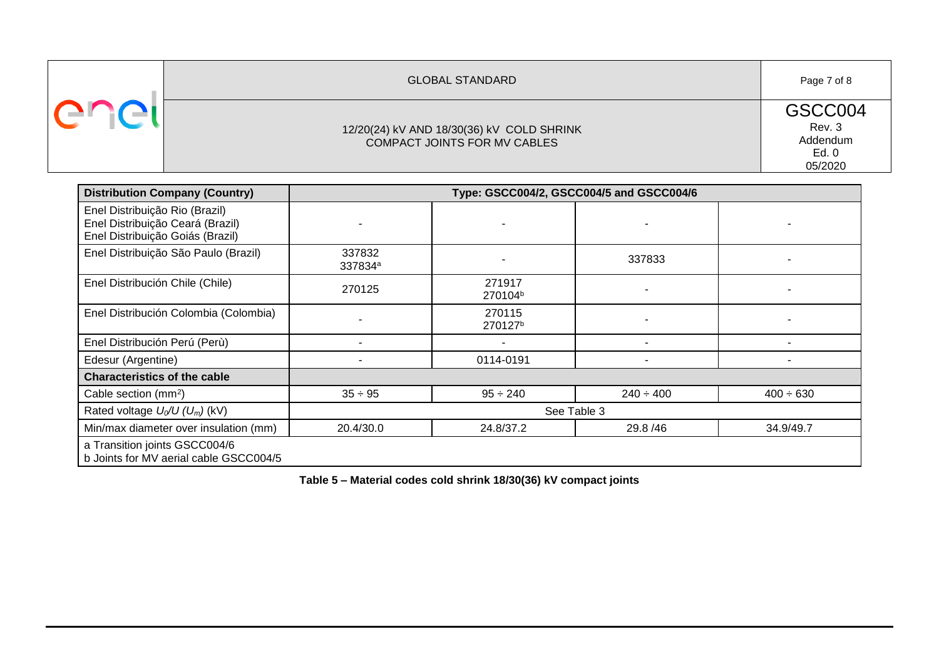| <b>GLOBAL STANDARD</b>                                                    | Page 7 of 8                                       |
|---------------------------------------------------------------------------|---------------------------------------------------|
| 12/20(24) kV AND 18/30(36) kV COLD SHRINK<br>COMPACT JOINTS FOR MV CABLES | GSCC004<br>Rev. 3<br>Addendum<br>Ed. 0<br>05/2020 |

| <b>Distribution Company (Country)</b>                                                                  | Type: GSCC004/2, GSCC004/5 and GSCC004/6 |                               |                |                |
|--------------------------------------------------------------------------------------------------------|------------------------------------------|-------------------------------|----------------|----------------|
| Enel Distribuição Rio (Brazil)<br>Enel Distribuição Ceará (Brazil)<br>Enel Distribuição Goiás (Brazil) |                                          |                               |                |                |
| Enel Distribuição São Paulo (Brazil)                                                                   | 337832<br>337834 <sup>a</sup>            |                               | 337833         |                |
| Enel Distribución Chile (Chile)                                                                        | 270125                                   | 271917<br>270104 <sup>b</sup> |                |                |
| Enel Distribución Colombia (Colombia)                                                                  |                                          | 270115<br>270127 <sup>b</sup> |                |                |
| Enel Distribución Perú (Perù)                                                                          |                                          |                               |                |                |
| Edesur (Argentine)                                                                                     |                                          | 0114-0191                     |                |                |
| <b>Characteristics of the cable</b>                                                                    |                                          |                               |                |                |
| Cable section (mm <sup>2</sup> )                                                                       | $35 \div 95$                             | $95 \div 240$                 | $240 \div 400$ | $400 \div 630$ |
| Rated voltage $U_0/U$ ( $U_m$ ) (kV)                                                                   | See Table 3                              |                               |                |                |
| Min/max diameter over insulation (mm)                                                                  | 20.4/30.0                                | 24.8/37.2                     | 29.8/46        | 34.9/49.7      |
| a Transition joints GSCC004/6<br>b Joints for MV aerial cable GSCC004/5                                |                                          |                               |                |                |

**Table 5 – Material codes cold shrink 18/30(36) kV compact joints**